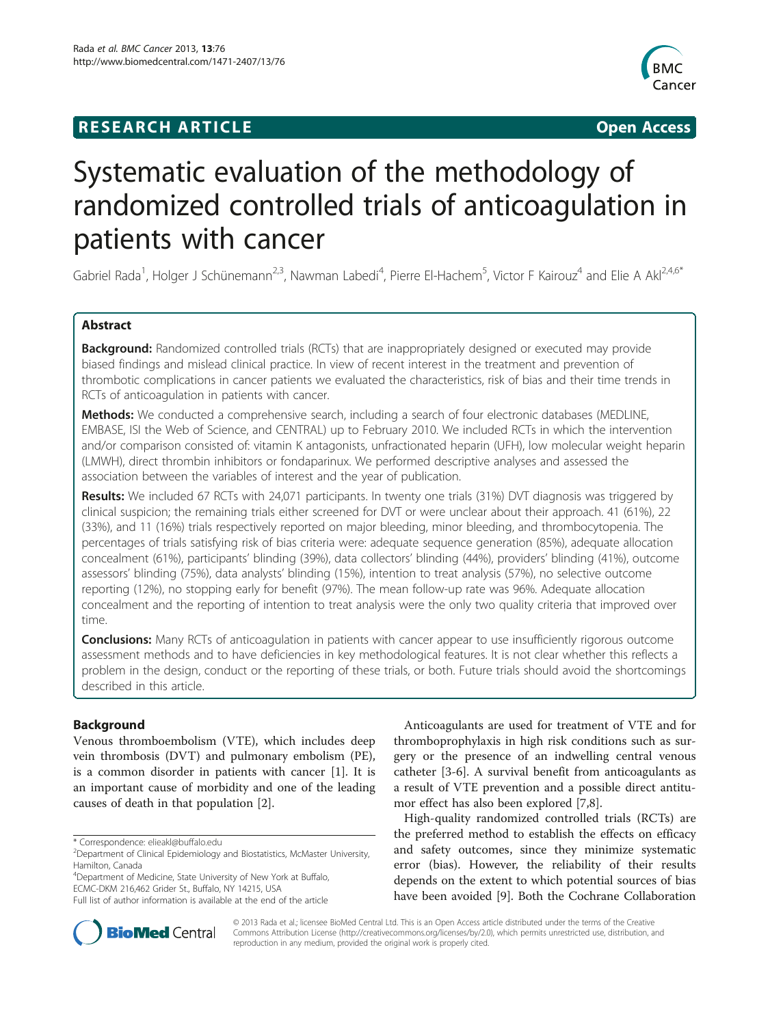# **RESEARCH ARTICLE Example 2014 CONSUMING A RESEARCH ARTICLE**



# Systematic evaluation of the methodology of randomized controlled trials of anticoagulation in patients with cancer

Gabriel Rada<sup>1</sup>, Holger J Schünemann<sup>2,3</sup>, Nawman Labedi<sup>4</sup>, Pierre El-Hachem<sup>5</sup>, Victor F Kairouz<sup>4</sup> and Elie A Akl<sup>2,4,6\*</sup>

# Abstract

Background: Randomized controlled trials (RCTs) that are inappropriately designed or executed may provide biased findings and mislead clinical practice. In view of recent interest in the treatment and prevention of thrombotic complications in cancer patients we evaluated the characteristics, risk of bias and their time trends in RCTs of anticoagulation in patients with cancer.

Methods: We conducted a comprehensive search, including a search of four electronic databases (MEDLINE, EMBASE, ISI the Web of Science, and CENTRAL) up to February 2010. We included RCTs in which the intervention and/or comparison consisted of: vitamin K antagonists, unfractionated heparin (UFH), low molecular weight heparin (LMWH), direct thrombin inhibitors or fondaparinux. We performed descriptive analyses and assessed the association between the variables of interest and the year of publication.

Results: We included 67 RCTs with 24,071 participants. In twenty one trials (31%) DVT diagnosis was triggered by clinical suspicion; the remaining trials either screened for DVT or were unclear about their approach. 41 (61%), 22 (33%), and 11 (16%) trials respectively reported on major bleeding, minor bleeding, and thrombocytopenia. The percentages of trials satisfying risk of bias criteria were: adequate sequence generation (85%), adequate allocation concealment (61%), participants' blinding (39%), data collectors' blinding (44%), providers' blinding (41%), outcome assessors' blinding (75%), data analysts' blinding (15%), intention to treat analysis (57%), no selective outcome reporting (12%), no stopping early for benefit (97%). The mean follow-up rate was 96%. Adequate allocation concealment and the reporting of intention to treat analysis were the only two quality criteria that improved over time.

**Conclusions:** Many RCTs of anticoagulation in patients with cancer appear to use insufficiently rigorous outcome assessment methods and to have deficiencies in key methodological features. It is not clear whether this reflects a problem in the design, conduct or the reporting of these trials, or both. Future trials should avoid the shortcomings described in this article.

# Background

Venous thromboembolism (VTE), which includes deep vein thrombosis (DVT) and pulmonary embolism (PE), is a common disorder in patients with cancer [\[1](#page-6-0)]. It is an important cause of morbidity and one of the leading causes of death in that population [\[2](#page-6-0)].

4 Department of Medicine, State University of New York at Buffalo, ECMC-DKM 216,462 Grider St., Buffalo, NY 14215, USA

Anticoagulants are used for treatment of VTE and for thromboprophylaxis in high risk conditions such as surgery or the presence of an indwelling central venous catheter [\[3](#page-6-0)-[6\]](#page-6-0). A survival benefit from anticoagulants as a result of VTE prevention and a possible direct antitumor effect has also been explored [[7,8\]](#page-6-0).

High-quality randomized controlled trials (RCTs) are the preferred method to establish the effects on efficacy and safety outcomes, since they minimize systematic error (bias). However, the reliability of their results depends on the extent to which potential sources of bias have been avoided [\[9](#page-6-0)]. Both the Cochrane Collaboration



© 2013 Rada et al.; licensee BioMed Central Ltd. This is an Open Access article distributed under the terms of the Creative Commons Attribution License [\(http://creativecommons.org/licenses/by/2.0\)](http://creativecommons.org/licenses/by/2.0), which permits unrestricted use, distribution, and reproduction in any medium, provided the original work is properly cited.

<sup>\*</sup> Correspondence: [elieakl@buffalo.edu](mailto:elieakl@buffalo.edu) <sup>2</sup>

<sup>&</sup>lt;sup>2</sup>Department of Clinical Epidemiology and Biostatistics, McMaster University, Hamilton, Canada

Full list of author information is available at the end of the article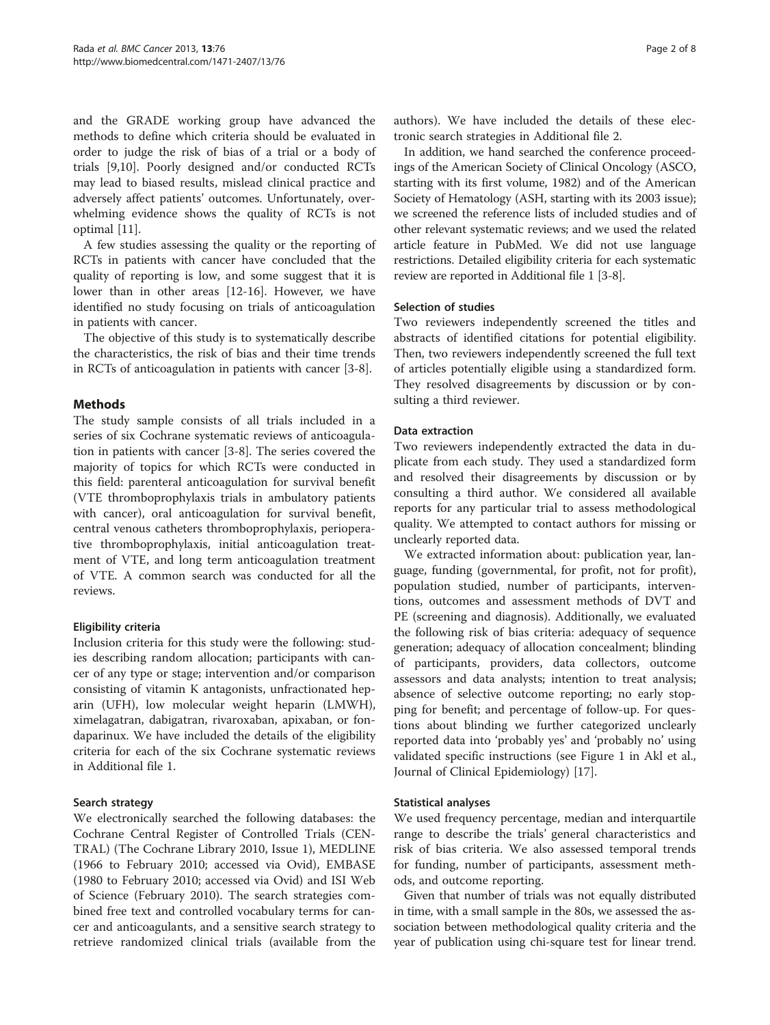and the GRADE working group have advanced the methods to define which criteria should be evaluated in order to judge the risk of bias of a trial or a body of trials [[9,10\]](#page-6-0). Poorly designed and/or conducted RCTs may lead to biased results, mislead clinical practice and adversely affect patients' outcomes. Unfortunately, overwhelming evidence shows the quality of RCTs is not optimal [[11\]](#page-6-0).

A few studies assessing the quality or the reporting of RCTs in patients with cancer have concluded that the quality of reporting is low, and some suggest that it is lower than in other areas [\[12-16](#page-6-0)]. However, we have identified no study focusing on trials of anticoagulation in patients with cancer.

The objective of this study is to systematically describe the characteristics, the risk of bias and their time trends in RCTs of anticoagulation in patients with cancer [\[3](#page-6-0)-[8\]](#page-6-0).

## Methods

The study sample consists of all trials included in a series of six Cochrane systematic reviews of anticoagulation in patients with cancer [\[3](#page-6-0)-[8\]](#page-6-0). The series covered the majority of topics for which RCTs were conducted in this field: parenteral anticoagulation for survival benefit (VTE thromboprophylaxis trials in ambulatory patients with cancer), oral anticoagulation for survival benefit, central venous catheters thromboprophylaxis, perioperative thromboprophylaxis, initial anticoagulation treatment of VTE, and long term anticoagulation treatment of VTE. A common search was conducted for all the reviews.

### Eligibility criteria

Inclusion criteria for this study were the following: studies describing random allocation; participants with cancer of any type or stage; intervention and/or comparison consisting of vitamin K antagonists, unfractionated heparin (UFH), low molecular weight heparin (LMWH), ximelagatran, dabigatran, rivaroxaban, apixaban, or fondaparinux. We have included the details of the eligibility criteria for each of the six Cochrane systematic reviews in Additional file [1.](#page-6-0)

### Search strategy

We electronically searched the following databases: the Cochrane Central Register of Controlled Trials (CEN-TRAL) (The Cochrane Library 2010, Issue 1), MEDLINE (1966 to February 2010; accessed via Ovid), EMBASE (1980 to February 2010; accessed via Ovid) and ISI Web of Science (February 2010). The search strategies combined free text and controlled vocabulary terms for cancer and anticoagulants, and a sensitive search strategy to retrieve randomized clinical trials (available from the authors). We have included the details of these electronic search strategies in Additional file [2](#page-6-0).

In addition, we hand searched the conference proceedings of the American Society of Clinical Oncology (ASCO, starting with its first volume, 1982) and of the American Society of Hematology (ASH, starting with its 2003 issue); we screened the reference lists of included studies and of other relevant systematic reviews; and we used the related article feature in PubMed. We did not use language restrictions. Detailed eligibility criteria for each systematic review are reported in Additional file [1](#page-6-0) [[3](#page-6-0)-[8\]](#page-6-0).

### Selection of studies

Two reviewers independently screened the titles and abstracts of identified citations for potential eligibility. Then, two reviewers independently screened the full text of articles potentially eligible using a standardized form. They resolved disagreements by discussion or by consulting a third reviewer.

### Data extraction

Two reviewers independently extracted the data in duplicate from each study. They used a standardized form and resolved their disagreements by discussion or by consulting a third author. We considered all available reports for any particular trial to assess methodological quality. We attempted to contact authors for missing or unclearly reported data.

We extracted information about: publication year, language, funding (governmental, for profit, not for profit), population studied, number of participants, interventions, outcomes and assessment methods of DVT and PE (screening and diagnosis). Additionally, we evaluated the following risk of bias criteria: adequacy of sequence generation; adequacy of allocation concealment; blinding of participants, providers, data collectors, outcome assessors and data analysts; intention to treat analysis; absence of selective outcome reporting; no early stopping for benefit; and percentage of follow-up. For questions about blinding we further categorized unclearly reported data into 'probably yes' and 'probably no' using validated specific instructions (see Figure [1](#page-2-0) in Akl et al., Journal of Clinical Epidemiology) [[17\]](#page-6-0).

### Statistical analyses

We used frequency percentage, median and interquartile range to describe the trials' general characteristics and risk of bias criteria. We also assessed temporal trends for funding, number of participants, assessment methods, and outcome reporting.

Given that number of trials was not equally distributed in time, with a small sample in the 80s, we assessed the association between methodological quality criteria and the year of publication using chi-square test for linear trend.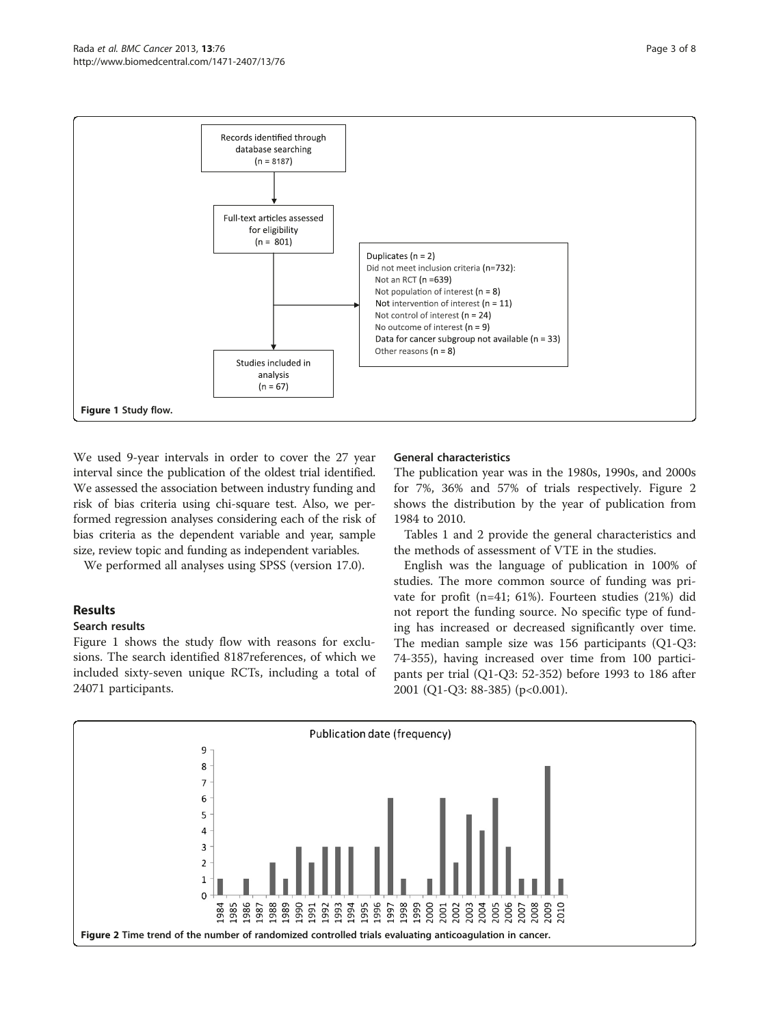<span id="page-2-0"></span>

We used 9-year intervals in order to cover the 27 year interval since the publication of the oldest trial identified. We assessed the association between industry funding and risk of bias criteria using chi-square test. Also, we performed regression analyses considering each of the risk of bias criteria as the dependent variable and year, sample size, review topic and funding as independent variables.

We performed all analyses using SPSS (version 17.0).

# Results

### Search results

Figure 1 shows the study flow with reasons for exclusions. The search identified 8187references, of which we included sixty-seven unique RCTs, including a total of 24071 participants.

### General characteristics

The publication year was in the 1980s, 1990s, and 2000s for 7%, 36% and 57% of trials respectively. Figure 2 shows the distribution by the year of publication from 1984 to 2010.

Tables [1](#page-3-0) and [2](#page-3-0) provide the general characteristics and the methods of assessment of VTE in the studies.

English was the language of publication in 100% of studies. The more common source of funding was private for profit (n=41; 61%). Fourteen studies (21%) did not report the funding source. No specific type of funding has increased or decreased significantly over time. The median sample size was 156 participants (Q1-Q3: 74-355), having increased over time from 100 participants per trial (Q1-Q3: 52-352) before 1993 to 186 after 2001 (Q1-Q3: 88-385) (p<0.001).

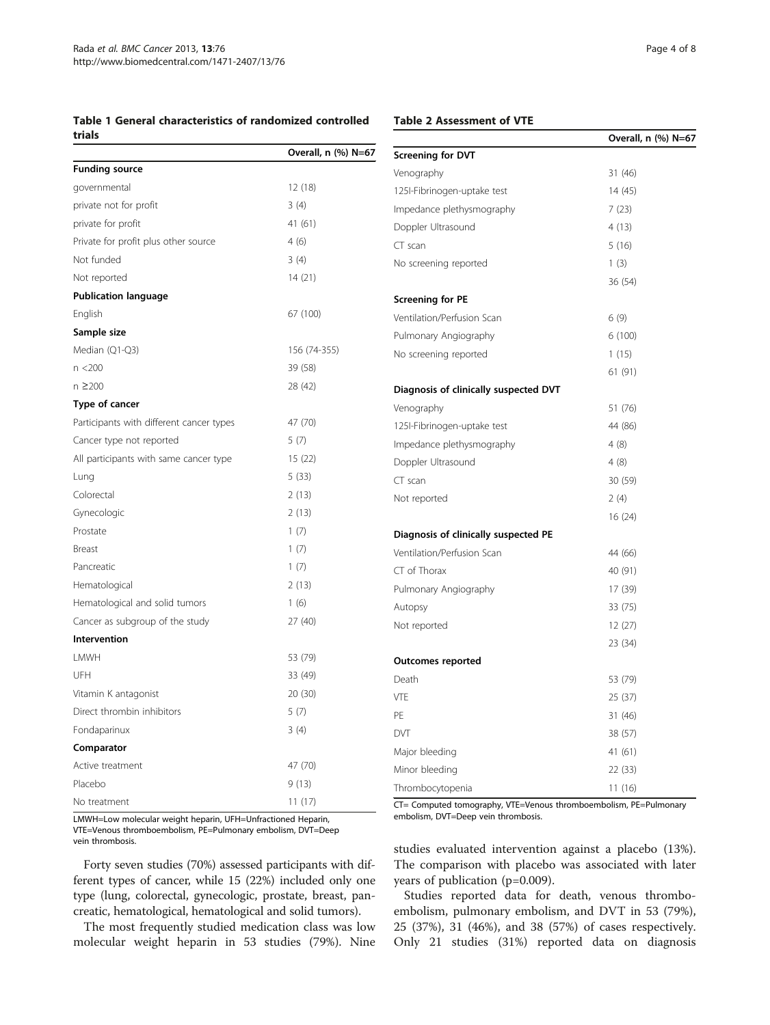# <span id="page-3-0"></span>Table 1 General characteristics of randomized controlled

### Table 2 Assessment of VTE

| trials                                   |                     |                                                                   | Overall, n (%) N=67 |
|------------------------------------------|---------------------|-------------------------------------------------------------------|---------------------|
|                                          | Overall, n (%) N=67 | <b>Screening for DVT</b>                                          |                     |
| <b>Funding source</b>                    |                     | Venography                                                        | 31 (46)             |
| governmental                             | 12(18)              | 125I-Fibrinogen-uptake test                                       | 14 (45)             |
| private not for profit                   | 3(4)                | Impedance plethysmography                                         | 7(23)               |
| private for profit                       | 41(61)              | Doppler Ultrasound                                                | 4(13)               |
| Private for profit plus other source     | 4(6)                | CT scan                                                           | 5(16)               |
| Not funded                               | 3(4)                | No screening reported                                             | 1(3)                |
| Not reported                             | 14(21)              |                                                                   | 36 (54)             |
| <b>Publication language</b>              |                     | <b>Screening for PE</b>                                           |                     |
| English                                  | 67 (100)            | Ventilation/Perfusion Scan                                        | 6(9)                |
| Sample size                              |                     | Pulmonary Angiography                                             | 6(100)              |
| Median (Q1-Q3)                           | 156 (74-355)        | No screening reported                                             | 1(15)               |
| n <200                                   | 39 (58)             |                                                                   | 61(91)              |
| n ≥200                                   | 28 (42)             | Diagnosis of clinically suspected DVT                             |                     |
| Type of cancer                           |                     | Venography                                                        | 51 (76)             |
| Participants with different cancer types | 47 (70)             | 125I-Fibrinogen-uptake test                                       | 44 (86)             |
| Cancer type not reported                 | 5(7)                | Impedance plethysmography                                         | 4(8)                |
| All participants with same cancer type   | 15(22)              | Doppler Ultrasound                                                | 4(8)                |
| Lung                                     | 5(33)               | CT scan                                                           | 30 (59)             |
| Colorectal                               | 2(13)               | Not reported                                                      | 2(4)                |
| Gynecologic                              | 2(13)               |                                                                   | 16(24)              |
| Prostate                                 | 1(7)                | Diagnosis of clinically suspected PE                              |                     |
| Breast                                   | 1(7)                | Ventilation/Perfusion Scan                                        | 44 (66)             |
| Pancreatic                               | 1(7)                | CT of Thorax                                                      | 40 (91)             |
| Hematological                            | 2(13)               | Pulmonary Angiography                                             | 17 (39)             |
| Hematological and solid tumors           | 1(6)                | Autopsy                                                           | 33 (75)             |
| Cancer as subgroup of the study          | 27 (40)             | Not reported                                                      | 12(27)              |
| Intervention                             |                     |                                                                   | 23 (34)             |
| LMWH                                     | 53 (79)             | <b>Outcomes reported</b>                                          |                     |
| UFH                                      | 33 (49)             | Death                                                             | 53 (79)             |
| Vitamin K antagonist                     | 20(30)              | VTE                                                               | 25 (37)             |
| Direct thrombin inhibitors               | 5(7)                | PE                                                                | 31 (46)             |
| Fondaparinux                             | 3 (4)               | <b>DVT</b>                                                        | 38 (57)             |
| Comparator                               |                     | Major bleeding                                                    | 41(61)              |
| Active treatment                         | 47 (70)             | Minor bleeding                                                    | 22(33)              |
| Placebo                                  | 9(13)               | Thrombocytopenia                                                  | 11(16)              |
| No treatment                             | 11(17)              | CT= Computed tomography, VTE=Venous thromboembolism, PE=Pulmonary |                     |

LMWH=Low molecular weight heparin, UFH=Unfractioned Heparin, VTE=Venous thromboembolism, PE=Pulmonary embolism, DVT=Deep vein thrombosis.

Forty seven studies (70%) assessed participants with different types of cancer, while 15 (22%) included only one type (lung, colorectal, gynecologic, prostate, breast, pancreatic, hematological, hematological and solid tumors).

The most frequently studied medication class was low molecular weight heparin in 53 studies (79%). Nine

d<br>Imonary embolism, DVT=Deep vein thrombosis.

studies evaluated intervention against a placebo (13%). The comparison with placebo was associated with later years of publication (p=0.009).

Studies reported data for death, venous thromboembolism, pulmonary embolism, and DVT in 53 (79%), 25 (37%), 31 (46%), and 38 (57%) of cases respectively. Only 21 studies (31%) reported data on diagnosis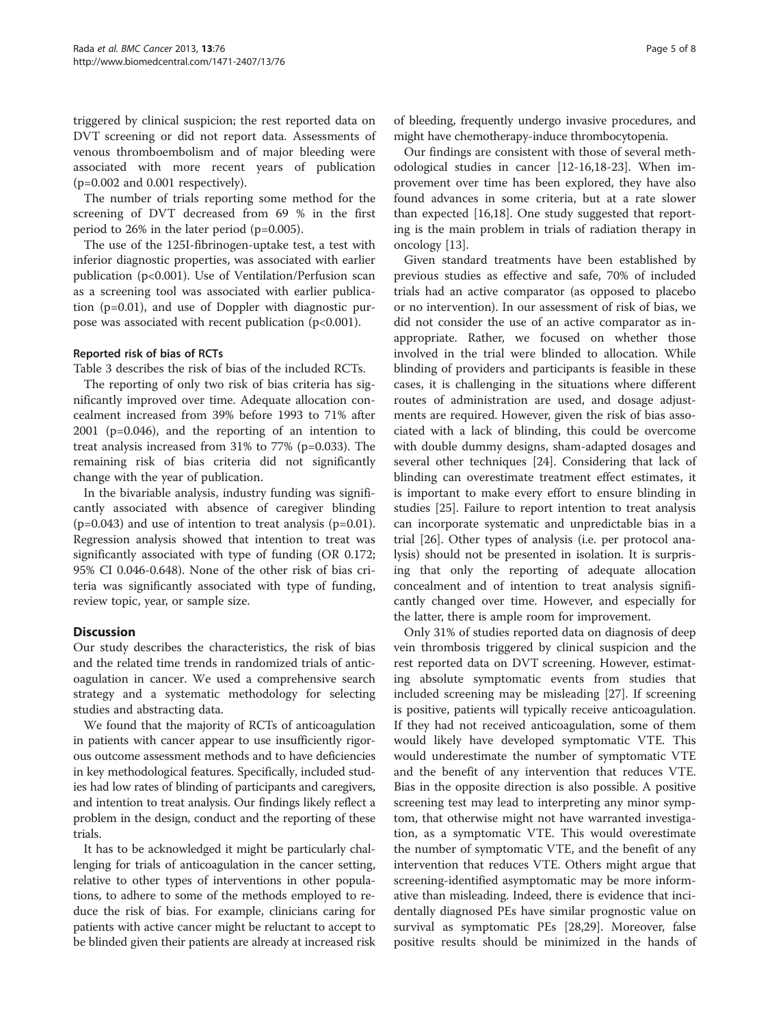triggered by clinical suspicion; the rest reported data on DVT screening or did not report data. Assessments of venous thromboembolism and of major bleeding were associated with more recent years of publication (p=0.002 and 0.001 respectively).

The number of trials reporting some method for the screening of DVT decreased from 69 % in the first period to 26% in the later period (p=0.005).

The use of the 125I-fibrinogen-uptake test, a test with inferior diagnostic properties, was associated with earlier publication (p<0.001). Use of Ventilation/Perfusion scan as a screening tool was associated with earlier publication (p=0.01), and use of Doppler with diagnostic purpose was associated with recent publication  $(p<0.001)$ .

### Reported risk of bias of RCTs

Table [3](#page-5-0) describes the risk of bias of the included RCTs.

The reporting of only two risk of bias criteria has significantly improved over time. Adequate allocation concealment increased from 39% before 1993 to 71% after 2001 (p=0.046), and the reporting of an intention to treat analysis increased from 31% to 77% (p=0.033). The remaining risk of bias criteria did not significantly change with the year of publication.

In the bivariable analysis, industry funding was significantly associated with absence of caregiver blinding  $(p=0.043)$  and use of intention to treat analysis  $(p=0.01)$ . Regression analysis showed that intention to treat was significantly associated with type of funding (OR 0.172; 95% CI 0.046-0.648). None of the other risk of bias criteria was significantly associated with type of funding, review topic, year, or sample size.

### **Discussion**

Our study describes the characteristics, the risk of bias and the related time trends in randomized trials of anticoagulation in cancer. We used a comprehensive search strategy and a systematic methodology for selecting studies and abstracting data.

We found that the majority of RCTs of anticoagulation in patients with cancer appear to use insufficiently rigorous outcome assessment methods and to have deficiencies in key methodological features. Specifically, included studies had low rates of blinding of participants and caregivers, and intention to treat analysis. Our findings likely reflect a problem in the design, conduct and the reporting of these trials.

It has to be acknowledged it might be particularly challenging for trials of anticoagulation in the cancer setting, relative to other types of interventions in other populations, to adhere to some of the methods employed to reduce the risk of bias. For example, clinicians caring for patients with active cancer might be reluctant to accept to be blinded given their patients are already at increased risk of bleeding, frequently undergo invasive procedures, and might have chemotherapy-induce thrombocytopenia.

Our findings are consistent with those of several methodological studies in cancer [\[12](#page-6-0)-[16,18-23\]](#page-6-0). When improvement over time has been explored, they have also found advances in some criteria, but at a rate slower than expected [[16](#page-6-0),[18](#page-6-0)]. One study suggested that reporting is the main problem in trials of radiation therapy in oncology [[13](#page-6-0)].

Given standard treatments have been established by previous studies as effective and safe, 70% of included trials had an active comparator (as opposed to placebo or no intervention). In our assessment of risk of bias, we did not consider the use of an active comparator as inappropriate. Rather, we focused on whether those involved in the trial were blinded to allocation. While blinding of providers and participants is feasible in these cases, it is challenging in the situations where different routes of administration are used, and dosage adjustments are required. However, given the risk of bias associated with a lack of blinding, this could be overcome with double dummy designs, sham-adapted dosages and several other techniques [\[24](#page-6-0)]. Considering that lack of blinding can overestimate treatment effect estimates, it is important to make every effort to ensure blinding in studies [[25\]](#page-6-0). Failure to report intention to treat analysis can incorporate systematic and unpredictable bias in a trial [\[26\]](#page-6-0). Other types of analysis (i.e. per protocol analysis) should not be presented in isolation. It is surprising that only the reporting of adequate allocation concealment and of intention to treat analysis significantly changed over time. However, and especially for the latter, there is ample room for improvement.

Only 31% of studies reported data on diagnosis of deep vein thrombosis triggered by clinical suspicion and the rest reported data on DVT screening. However, estimating absolute symptomatic events from studies that included screening may be misleading [[27\]](#page-6-0). If screening is positive, patients will typically receive anticoagulation. If they had not received anticoagulation, some of them would likely have developed symptomatic VTE. This would underestimate the number of symptomatic VTE and the benefit of any intervention that reduces VTE. Bias in the opposite direction is also possible. A positive screening test may lead to interpreting any minor symptom, that otherwise might not have warranted investigation, as a symptomatic VTE. This would overestimate the number of symptomatic VTE, and the benefit of any intervention that reduces VTE. Others might argue that screening-identified asymptomatic may be more informative than misleading. Indeed, there is evidence that incidentally diagnosed PEs have similar prognostic value on survival as symptomatic PEs [[28,29\]](#page-6-0). Moreover, false positive results should be minimized in the hands of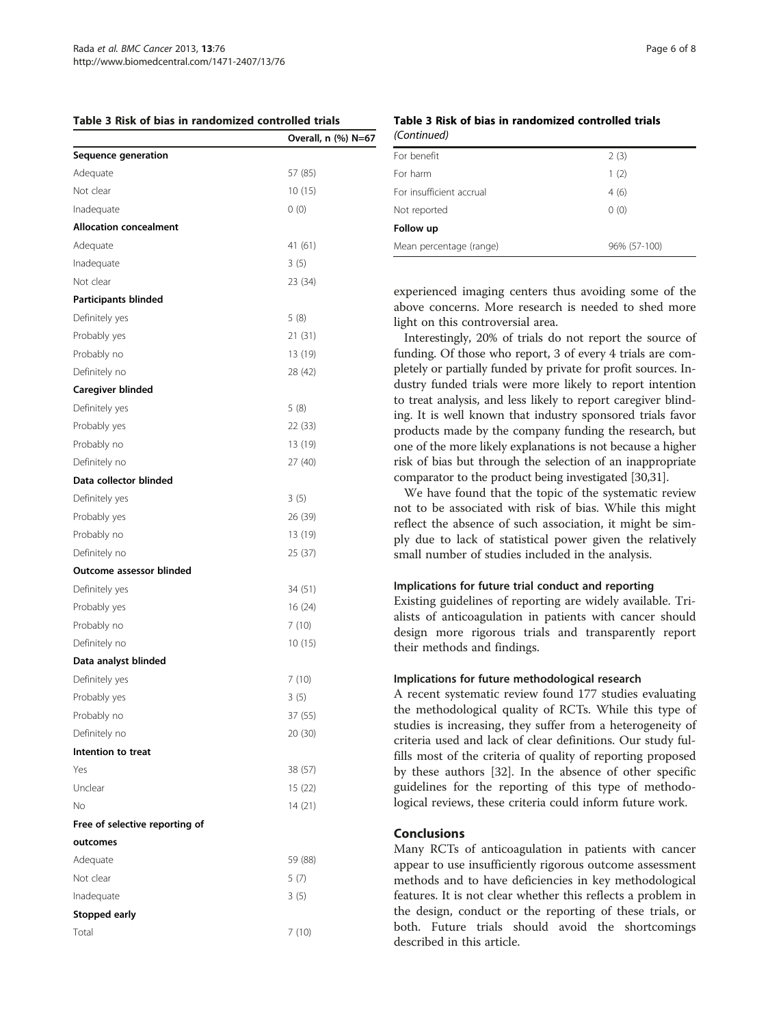No 14 (21)

Adequate 59 (88) Not clear 5 (7) Inadequate 3 (5)

Total 7 (10)

Free of selective reporting of

outcomes

Stopped early

<span id="page-5-0"></span>

|  |  | Table 3 Risk of bias in randomized controlled trials |  |
|--|--|------------------------------------------------------|--|
|--|--|------------------------------------------------------|--|

# $(C_{\text{multi}})$

|                               | Overall, n (%) N=67 | (Continuea)                   |
|-------------------------------|---------------------|-------------------------------|
| Sequence generation           |                     | For benefit                   |
| Adequate                      | 57 (85)             | For harm                      |
| Not clear                     | 10(15)              | For insufficient              |
| Inadequate                    | 0(0)                | Not reported                  |
| <b>Allocation concealment</b> |                     | Follow up                     |
| Adequate                      | 41 (61)             | Mean percenta                 |
| Inadequate                    | 3(5)                |                               |
| Not clear                     | 23 (34)             |                               |
| <b>Participants blinded</b>   |                     | experiencec<br>above conc     |
| Definitely yes                | 5(8)                | light on this                 |
| Probably yes                  | 21(31)              | Interestin                    |
| Probably no                   | 13 (19)             | funding. Of                   |
| Definitely no                 | 28 (42)             | pletely or pa                 |
| Caregiver blinded             |                     | dustry fund                   |
| Definitely yes                | 5(8)                | to treat ana                  |
| Probably yes                  | 22 (33)             | ing. It is we<br>products m   |
| Probably no                   | 13 (19)             | one of the n                  |
| Definitely no                 | 27(40)              | risk of bias                  |
| Data collector blinded        |                     | comparator                    |
| Definitely yes                | 3(5)                | We have                       |
| Probably yes                  | 26 (39)             | not to be a                   |
| Probably no                   | 13 (19)             | reflect the a<br>ply due to   |
| Definitely no                 | 25 (37)             | small numb                    |
| Outcome assessor blinded      |                     |                               |
| Definitely yes                | 34 (51)             | <b>Implications</b>           |
| Probably yes                  | 16(24)              | Existing gui                  |
| Probably no                   | 7(10)               | alists of an                  |
| Definitely no                 | 10(15)              | design mor<br>their metho     |
| Data analyst blinded          |                     |                               |
| Definitely yes                | 7(10)               | <b>Implications</b>           |
| Probably yes                  | 3(5)                | A recent sy                   |
| Probably no                   | 37 (55)             | the method                    |
| Definitely no                 | 20(30)              | studies is ir                 |
| Intention to treat            |                     | criteria use<br>fills most of |
| Yes                           | 38 (57)             | by these at                   |
| Unclear                       | 15 (22)             | guidelines                    |

# Table 3 Risk of bias in randomized controlled trials

| For benefit              | 2(3)         |  |  |  |
|--------------------------|--------------|--|--|--|
| For harm                 | 1(2)         |  |  |  |
| For insufficient accrual | 4(6)         |  |  |  |
| Not reported             | 0(0)         |  |  |  |
| Follow up                |              |  |  |  |
| Mean percentage (range)  | 96% (57-100) |  |  |  |

d imaging centers thus avoiding some of the cerns. More research is needed to shed more s controversial area.

gly, 20% of trials do not report the source of those who report, 3 of every 4 trials are comartially funded by private for profit sources. Inled trials were more likely to report intention alysis, and less likely to report caregiver blindell known that industry sponsored trials favor ade by the company funding the research, but nore likely explanations is not because a higher but through the selection of an inappropriate to the product being investigated [\[30,](#page-6-0)[31](#page-7-0)].

found that the topic of the systematic review associated with risk of bias. While this might absence of such association, it might be simlack of statistical power given the relatively ber of studies included in the analysis.

### s for future trial conduct and reporting

idelines of reporting are widely available. Triticoagulation in patients with cancer should re rigorous trials and transparently report ds and findings.

### s for future methodological research

stematic review found 177 studies evaluating lological quality of RCTs. While this type of ncreasing, they suffer from a heterogeneity of d and lack of clear definitions. Our study fulof the criteria of quality of reporting proposed uthors [[32\]](#page-7-0). In the absence of other specific guidelines for the reporting of this type of methodological reviews, these criteria could inform future work.

## Conclusions

Many RCTs of anticoagulation in patients with cancer appear to use insufficiently rigorous outcome assessment methods and to have deficiencies in key methodological features. It is not clear whether this reflects a problem in the design, conduct or the reporting of these trials, or both. Future trials should avoid the shortcomings described in this article.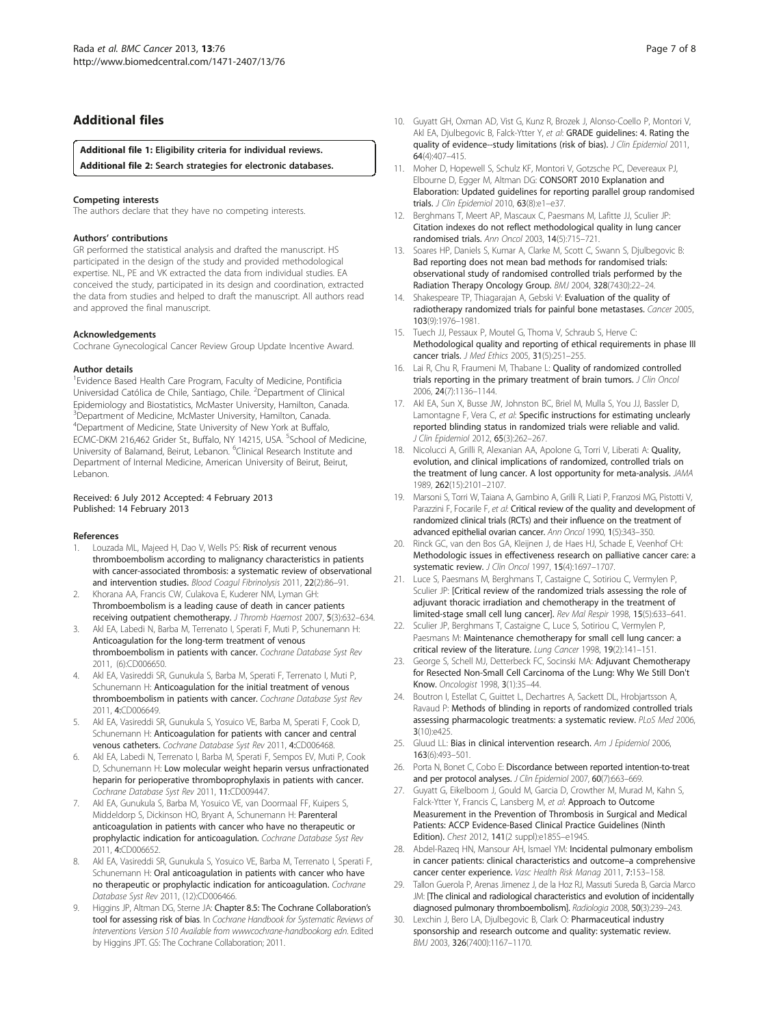### <span id="page-6-0"></span>Additional files

[Additional file 1:](http://www.biomedcentral.com/content/supplementary/1471-2407-13-76-S1.docx) Eligibility criteria for individual reviews.

[Additional file 2:](http://www.biomedcentral.com/content/supplementary/1471-2407-13-76-S2.doc) Search strategies for electronic databases.

### Competing interests

The authors declare that they have no competing interests.

### Authors' contributions

GR performed the statistical analysis and drafted the manuscript. HS participated in the design of the study and provided methodological expertise. NL, PE and VK extracted the data from individual studies. EA conceived the study, participated in its design and coordination, extracted the data from studies and helped to draft the manuscript. All authors read and approved the final manuscript.

### Acknowledgements

Cochrane Gynecological Cancer Review Group Update Incentive Award.

### Author details

<sup>1</sup> Evidence Based Health Care Program, Faculty of Medicine, Pontificia Universidad Católica de Chile, Santiago, Chile. <sup>2</sup>Department of Clinical Epidemiology and Biostatistics, McMaster University, Hamilton, Canada. <sup>3</sup>Department of Medicine, McMaster University, Hamilton, Canada. 4 Department of Medicine, State University of New York at Buffalo, ECMC-DKM 216,462 Grider St., Buffalo, NY 14215, USA. <sup>5</sup>School of Medicine, University of Balamand, Beirut, Lebanon. <sup>6</sup>Clinical Research Institute and Department of Internal Medicine, American University of Beirut, Beirut, Lebanon.

#### Received: 6 July 2012 Accepted: 4 February 2013 Published: 14 February 2013

#### References

- 1. Louzada ML, Majeed H, Dao V, Wells PS: Risk of recurrent venous thromboembolism according to malignancy characteristics in patients with cancer-associated thrombosis: a systematic review of observational and intervention studies. Blood Coagul Fibrinolysis 2011, 22(2):86-91.
- 2. Khorana AA, Francis CW, Culakova E, Kuderer NM, Lyman GH: Thromboembolism is a leading cause of death in cancer patients receiving outpatient chemotherapy. J Thromb Haemost 2007, 5(3):632–634.
- Akl EA, Labedi N, Barba M, Terrenato I, Sperati F, Muti P, Schunemann H: Anticoagulation for the long-term treatment of venous thromboembolism in patients with cancer. Cochrane Database Syst Rev 2011, (6):CD006650.
- 4. Akl EA, Vasireddi SR, Gunukula S, Barba M, Sperati F, Terrenato I, Muti P, Schunemann H: Anticoagulation for the initial treatment of venous thromboembolism in patients with cancer. Cochrane Database Syst Rev 2011, 4:CD006649.
- 5. Akl EA, Vasireddi SR, Gunukula S, Yosuico VE, Barba M, Sperati F, Cook D, Schunemann H: Anticoagulation for patients with cancer and central venous catheters. Cochrane Database Syst Rev 2011, 4:CD006468.
- 6. Akl EA, Labedi N, Terrenato I, Barba M, Sperati F, Sempos EV, Muti P, Cook D, Schunemann H: Low molecular weight heparin versus unfractionated heparin for perioperative thromboprophylaxis in patients with cancer. Cochrane Database Syst Rev 2011, 11:CD009447.
- Akl EA, Gunukula S, Barba M, Yosuico VE, van Doormaal FF, Kuipers S, Middeldorp S, Dickinson HO, Bryant A, Schunemann H: Parenteral anticoagulation in patients with cancer who have no therapeutic or prophylactic indication for anticoagulation. Cochrane Database Syst Rev 2011, 4:CD006652.
- 8. Akl EA, Vasireddi SR, Gunukula S, Yosuico VE, Barba M, Terrenato I, Sperati F, Schunemann H: Oral anticoagulation in patients with cancer who have no therapeutic or prophylactic indication for anticoagulation. Cochrane Database Syst Rev 2011, (12):CD006466.
- Higgins JP, Altman DG, Sterne JA: Chapter 8.5: The Cochrane Collaboration's tool for assessing risk of bias. In Cochrane Handbook for Systematic Reviews of Interventions Version 510 Available from wwwcochrane-handbookorg edn. Edited by Higgins JPT. GS: The Cochrane Collaboration; 2011.
- 10. Guyatt GH, Oxman AD, Vist G, Kunz R, Brozek J, Alonso-Coello P, Montori V, Akl EA, Djulbegovic B, Falck-Ytter Y, et al: GRADE guidelines: 4. Rating the quality of evidence--study limitations (risk of bias). J Clin Epidemiol 2011, 64(4):407–415.
- 11. Moher D, Hopewell S, Schulz KF, Montori V, Gotzsche PC, Devereaux PJ, Elbourne D, Egger M, Altman DG: CONSORT 2010 Explanation and Elaboration: Updated guidelines for reporting parallel group randomised trials. J Clin Epidemiol 2010, 63(8):e1-e37.
- 12. Berghmans T, Meert AP, Mascaux C, Paesmans M, Lafitte JJ, Sculier JP: Citation indexes do not reflect methodological quality in lung cancer randomised trials. Ann Oncol 2003, 14(5):715–721.
- 13. Soares HP, Daniels S, Kumar A, Clarke M, Scott C, Swann S, Djulbegovic B: Bad reporting does not mean bad methods for randomised trials: observational study of randomised controlled trials performed by the Radiation Therapy Oncology Group. BMJ 2004, 328(7430):22–24.
- 14. Shakespeare TP, Thiagarajan A, Gebski V: Evaluation of the quality of radiotherapy randomized trials for painful bone metastases. Cancer 2005, 103(9):1976–1981.
- 15. Tuech JJ, Pessaux P, Moutel G, Thoma V, Schraub S, Herve C: Methodological quality and reporting of ethical requirements in phase III cancer trials. J Med Ethics 2005, 31(5):251–255.
- 16. Lai R, Chu R, Fraumeni M, Thabane L: Quality of randomized controlled trials reporting in the primary treatment of brain tumors. J Clin Oncol 2006, 24(7):1136–1144.
- 17. Akl EA, Sun X, Busse JW, Johnston BC, Briel M, Mulla S, You JJ, Bassler D, Lamontagne F, Vera C, et al: Specific instructions for estimating unclearly reported blinding status in randomized trials were reliable and valid. J Clin Epidemiol 2012, 65(3):262–267.
- 18. Nicolucci A, Grilli R, Alexanian AA, Apolone G, Torri V, Liberati A: Quality, evolution, and clinical implications of randomized, controlled trials on the treatment of lung cancer. A lost opportunity for meta-analysis. JAMA 1989, 262(15):2101–2107.
- 19. Marsoni S, Torri W, Taiana A, Gambino A, Grilli R, Liati P, Franzosi MG, Pistotti V, Parazzini F, Focarile F, et al: Critical review of the quality and development of randomized clinical trials (RCTs) and their influence on the treatment of advanced epithelial ovarian cancer. Ann Oncol 1990, 1(5):343-350.
- 20. Rinck GC, van den Bos GA, Kleijnen J, de Haes HJ, Schade E, Veenhof CH: Methodologic issues in effectiveness research on palliative cancer care: a systematic review. J Clin Oncol 1997, 15(4):1697-1707.
- 21. Luce S, Paesmans M, Berghmans T, Castaigne C, Sotiriou C, Vermylen P, Sculier JP: [Critical review of the randomized trials assessing the role of adjuvant thoracic irradiation and chemotherapy in the treatment of limited-stage small cell lung cancer]. Rev Mal Respir 1998, 15(5):633–641.
- 22. Sculier JP, Berghmans T, Castaigne C, Luce S, Sotiriou C, Vermylen P, Paesmans M: Maintenance chemotherapy for small cell lung cancer: a critical review of the literature. Lung Cancer 1998, 19(2):141–151.
- 23. George S, Schell MJ, Detterbeck FC, Socinski MA: Adjuvant Chemotherapy for Resected Non-Small Cell Carcinoma of the Lung: Why We Still Don't Know. Oncologist 1998, 3(1):35–44.
- 24. Boutron I, Estellat C, Guittet L, Dechartres A, Sackett DL, Hrobjartsson A, Ravaud P: Methods of blinding in reports of randomized controlled trials assessing pharmacologic treatments: a systematic review. PLoS Med 2006, 3(10):e425.
- 25. Gluud LL: Bias in clinical intervention research. Am J Epidemiol 2006, 163(6):493–501.
- 26. Porta N, Bonet C, Cobo E: Discordance between reported intention-to-treat and per protocol analyses. J Clin Epidemiol 2007, 60(7):663-669
- 27. Guyatt G, Eikelboom J, Gould M, Garcia D, Crowther M, Murad M, Kahn S, Falck-Ytter Y, Francis C, Lansberg M, et al: Approach to Outcome Measurement in the Prevention of Thrombosis in Surgical and Medical Patients: ACCP Evidence-Based Clinical Practice Guidelines (Ninth Edition). Chest 2012, 141(2 suppl):e185S–e194S.
- 28. Abdel-Razeq HN, Mansour AH, Ismael YM: Incidental pulmonary embolism in cancer patients: clinical characteristics and outcome–a comprehensive cancer center experience. Vasc Health Risk Manag 2011, 7:153–158.
- 29. Tallon Guerola P, Arenas Jimenez J, de la Hoz RJ, Massuti Sureda B, Garcia Marco JM: [The clinical and radiological characteristics and evolution of incidentally diagnosed pulmonary thromboembolism]. Radiologia 2008, 50(3):239–243.
- 30. Lexchin J, Bero LA, Djulbegovic B, Clark O: Pharmaceutical industry sponsorship and research outcome and quality: systematic review. BMJ 2003, 326(7400):1167–1170.